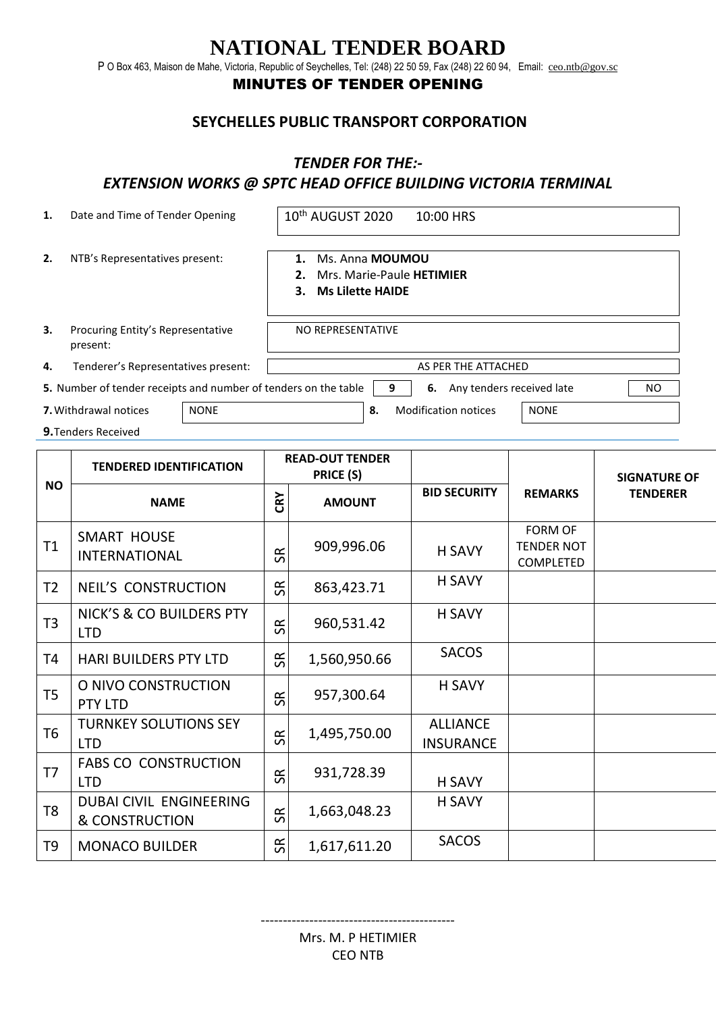# **NATIONAL TENDER BOARD**

P O Box 463, Maison de Mahe, Victoria, Republic of Seychelles, Tel: (248) 22 50 59, Fax (248) 22 60 94, Email: [ceo.ntb@gov.sc](mailto:ceo.ntb@gov.sc)

### MINUTES OF TENDER OPENING

#### **SEYCHELLES PUBLIC TRANSPORT CORPORATION**

#### *TENDER FOR THE:-*

## *EXTENSION WORKS @ SPTC HEAD OFFICE BUILDING VICTORIA TERMINAL*

| 1.             | Date and Time of Tender Opening                                 |  |                                     | 10 <sup>th</sup> AUGUST 2020<br>10:00 HRS                                              |   |                                       |                                                         |                 |  |
|----------------|-----------------------------------------------------------------|--|-------------------------------------|----------------------------------------------------------------------------------------|---|---------------------------------------|---------------------------------------------------------|-----------------|--|
| 2.             | NTB's Representatives present:                                  |  |                                     | 1. Ms. Anna MOUMOU<br>Mrs. Marie-Paule HETIMIER<br>2.<br><b>Ms Lilette HAIDE</b><br>3. |   |                                       |                                                         |                 |  |
| 3.             | Procuring Entity's Representative<br>present:                   |  |                                     | NO REPRESENTATIVE                                                                      |   |                                       |                                                         |                 |  |
| 4.             | Tenderer's Representatives present:                             |  | AS PER THE ATTACHED                 |                                                                                        |   |                                       |                                                         |                 |  |
|                | 5. Number of tender receipts and number of tenders on the table |  |                                     |                                                                                        | 9 | 6. Any tenders received late          |                                                         | <b>NO</b>       |  |
|                | 7. Withdrawal notices<br><b>NONE</b>                            |  | <b>Modification notices</b><br>8.   |                                                                                        |   |                                       | <b>NONE</b>                                             |                 |  |
|                | 9. Tenders Received                                             |  |                                     |                                                                                        |   |                                       |                                                         |                 |  |
| <b>NO</b>      | <b>TENDERED IDENTIFICATION</b>                                  |  | <b>READ-OUT TENDER</b><br>PRICE (S) |                                                                                        |   |                                       | <b>SIGNATURE OF</b>                                     |                 |  |
|                | <b>NAME</b>                                                     |  | CRY                                 | <b>AMOUNT</b>                                                                          |   | <b>BID SECURITY</b><br><b>REMARKS</b> |                                                         | <b>TENDERER</b> |  |
| T1             | <b>SMART HOUSE</b><br><b>INTERNATIONAL</b>                      |  | SR                                  | 909,996.06                                                                             |   | <b>H SAVY</b>                         | <b>FORM OF</b><br><b>TENDER NOT</b><br><b>COMPLETED</b> |                 |  |
| T <sub>2</sub> | <b>NEIL'S CONSTRUCTION</b>                                      |  | SR                                  | 863,423.71                                                                             |   | <b>H SAVY</b>                         |                                                         |                 |  |
| T <sub>3</sub> | NICK'S & CO BUILDERS PTY<br><b>LTD</b>                          |  | $\Im$                               | 960,531.42                                                                             |   | <b>H SAVY</b>                         |                                                         |                 |  |
| T <sub>4</sub> | <b>HARI BUILDERS PTY LTD</b>                                    |  | $\Im$                               | 1,560,950.66                                                                           |   | <b>SACOS</b>                          |                                                         |                 |  |
| T <sub>5</sub> | O NIVO CONSTRUCTION<br>PTY LTD                                  |  | $\Im$                               | 957,300.64                                                                             |   | H SAVY                                |                                                         |                 |  |
| T <sub>6</sub> | <b>TURNKEY SOLUTIONS SEY</b><br><b>LTD</b>                      |  | $\Im$                               | 1,495,750.00                                                                           |   | <b>ALLIANCE</b><br><b>INSURANCE</b>   |                                                         |                 |  |
| T7             | <b>FABS CO CONSTRUCTION</b><br><b>LTD</b>                       |  | SR                                  | 931,728.39                                                                             |   | H SAVY                                |                                                         |                 |  |
| T <sub>8</sub> | DUBAI CIVIL ENGINEERING<br><b>&amp; CONSTRUCTION</b>            |  | $\Im$                               | 1,663,048.23                                                                           |   | <b>H SAVY</b>                         |                                                         |                 |  |
| T9             | <b>MONACO BUILDER</b>                                           |  | SR                                  | 1,617,611.20                                                                           |   | <b>SACOS</b>                          |                                                         |                 |  |

--------------------------------------------